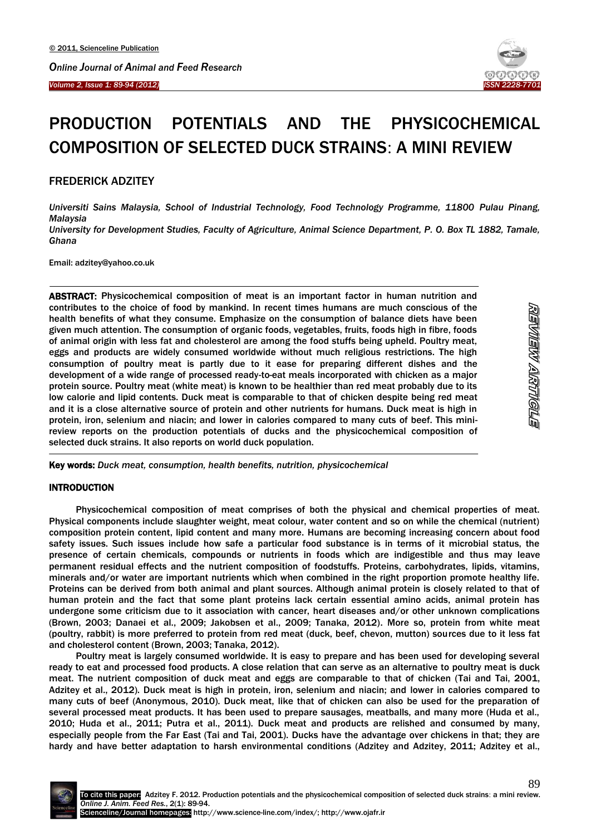

# PRODUCTION POTENTIALS AND THE PHYSICOCHEMICAL COMPOSITION OF SELECTED DUCK STRAINS: A MINI REVIEW

FREDERICK ADZITEY

Ī

 $\overline{\phantom{a}}$ 

-

*Universiti Sains Malaysia, School of Industrial Technology, Food Technology Programme, 11800 Pulau Pinang, Malaysia*

*University for Development Studies, Faculty of Agriculture, Animal Science Department, P. O. Box TL 1882, Tamale, Ghana*

Email: adzitey@yahoo.co.uk

ABSTRACT: Physicochemical composition of meat is an important factor in human nutrition and contributes to the choice of food by mankind. In recent times humans are much conscious of the health benefits of what they consume. Emphasize on the consumption of balance diets have been given much attention. The consumption of organic foods, vegetables, fruits, foods high in fibre, foods of animal origin with less fat and cholesterol are among the food stuffs being upheld. Poultry meat, eggs and products are widely consumed worldwide without much religious restrictions. The high consumption of poultry meat is partly due to it ease for preparing different dishes and the development of a wide range of processed ready-to-eat meals incorporated with chicken as a major protein source. Poultry meat (white meat) is known to be healthier than red meat probably due to its low calorie and lipid contents. Duck meat is comparable to that of chicken despite being red meat and it is a close alternative source of protein and other nutrients for humans. Duck meat is high in protein, iron, selenium and niacin; and lower in calories compared to many cuts of beef. This minireview reports on the production potentials of ducks and the physicochemical composition of selected duck strains. It also reports on world duck population.

REVIEW ARTIGLE

Key words: *Duck meat, consumption, health benefits, nutrition, physicochemical*

### **INTRODUCTION**

Physicochemical composition of meat comprises of both the physical and chemical properties of meat. Physical components include slaughter weight, meat colour, water content and so on while the chemical (nutrient) composition protein content, lipid content and many more. Humans are becoming increasing concern about food safety issues. Such issues include how safe a particular food substance is in terms of it microbial status, the presence of certain chemicals, compounds or nutrients in foods which are indigestible and thus may leave permanent residual effects and the nutrient composition of foodstuffs. Proteins, carbohydrates, lipids, vitamins, minerals and/or water are important nutrients which when combined in the right proportion promote healthy life. Proteins can be derived from both animal and plant sources. Although animal protein is closely related to that of human protein and the fact that some plant proteins lack certain essential amino acids, animal protein has undergone some criticism due to it association with cancer, heart diseases and/or other unknown complications (Brown, 2003; Danaei et al., 2009; Jakobsen et al., 2009; Tanaka, 2012). More so, protein from white meat (poultry, rabbit) is more preferred to protein from red meat (duck, beef, chevon, mutton) sources due to it less fat and cholesterol content (Brown, 2003; Tanaka, 2012).

Poultry meat is largely consumed worldwide. It is easy to prepare and has been used for developing several ready to eat and processed food products. A close relation that can serve as an alternative to poultry meat is duck meat. The nutrient composition of duck meat and eggs are comparable to that of chicken (Tai and Tai, 2001, Adzitey et al., 2012). Duck meat is high in protein, iron, selenium and niacin; and lower in calories compared to many cuts of beef (Anonymous, 2010). Duck meat, like that of chicken can also be used for the preparation of several processed meat products. It has been used to prepare sausages, meatballs, and many more (Huda et al., 2010; Huda et al., 2011; Putra et al., 2011). Duck meat and products are relished and consumed by many, especially people from the Far East (Tai and Tai, 2001). Ducks have the advantage over chickens in that; they are hardy and have better adaptation to harsh environmental conditions (Adzitey and Adzitey, 2011; Adzitey et al.,

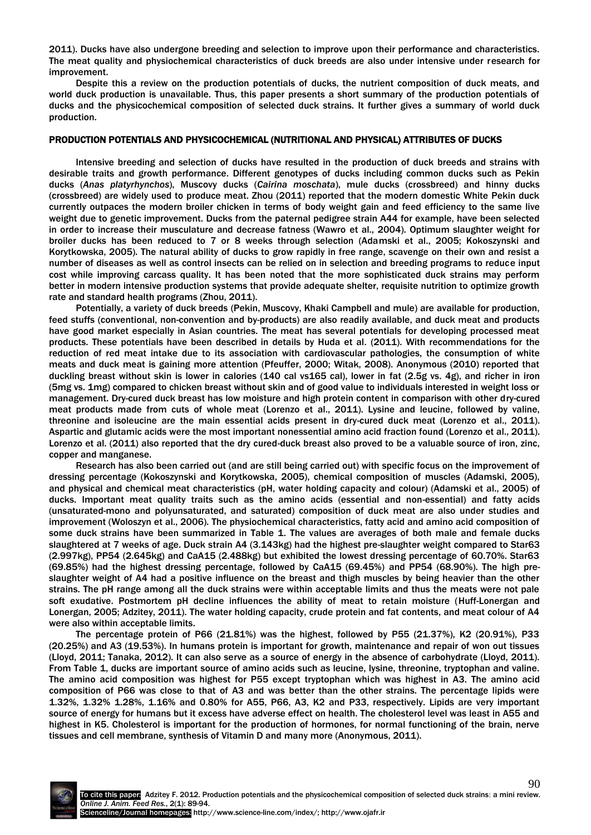2011). Ducks have also undergone breeding and selection to improve upon their performance and characteristics. The meat quality and physiochemical characteristics of duck breeds are also under intensive under research for improvement.

Despite this a review on the production potentials of ducks, the nutrient composition of duck meats, and world duck production is unavailable. Thus, this paper presents a short summary of the production potentials of ducks and the physicochemical composition of selected duck strains. It further gives a summary of world duck production.

## PRODUCTION POTENTIALS AND PHYSICOCHEMICAL (NUTRITIONAL AND PHYSICAL) ATTRIBUTES OF DUCKS

Intensive breeding and selection of ducks have resulted in the production of duck breeds and strains with desirable traits and growth performance. Different genotypes of ducks including common ducks such as Pekin ducks (*Anas platyrhynchos*), Muscovy ducks (*Cairina moschata*), mule ducks (crossbreed) and hinny ducks (crossbreed) are widely used to produce meat. Zhou (2011) reported that the modern domestic White Pekin duck currently outpaces the modern broiler chicken in terms of body weight gain and feed efficiency to the same live weight due to genetic improvement. Ducks from the paternal pedigree strain A44 for example, have been selected in order to increase their musculature and decrease fatness (Wawro et al., 2004). Optimum slaughter weight for broiler ducks has been reduced to 7 or 8 weeks through selection (Adamski et al., 2005; Kokoszynski and Korytkowska, 2005). The natural ability of ducks to grow rapidly in free range, scavenge on their own and resist a number of diseases as well as control insects can be relied on in selection and breeding programs to reduce input cost while improving carcass quality. It has been noted that the more sophisticated duck strains may perform better in modern intensive production systems that provide adequate shelter, requisite nutrition to optimize growth rate and standard health programs (Zhou, 2011).

Potentially, a variety of duck breeds (Pekin, Muscovy, Khaki Campbell and mule) are available for production, feed stuffs (conventional, non-convention and by-products) are also readily available, and duck meat and products have good market especially in Asian countries. The meat has several potentials for developing processed meat products. These potentials have been described in details by Huda et al*.* (2011). With recommendations for the reduction of red meat intake due to its association with cardiovascular pathologies, the consumption of white meats and duck meat is gaining more attention (Pfeuffer, 2000; Witak, 2008). Anonymous (2010) reported that duckling breast without skin is lower in calories (140 cal vs165 cal), lower in fat (2.5g vs. 4g), and richer in iron (5mg vs. 1mg) compared to chicken breast without skin and of good value to individuals interested in weight loss or management. Dry-cured duck breast has low moisture and high protein content in comparison with other dry-cured meat products made from cuts of whole meat (Lorenzo et al., 2011). Lysine and leucine, followed by valine, threonine and isoleucine are the main essential acids present in dry-cured duck meat (Lorenzo et al., 2011). Aspartic and glutamic acids were the most important nonessential amino acid fraction found (Lorenzo et al., 2011). Lorenzo et al. (2011) also reported that the dry cured-duck breast also proved to be a valuable source of iron, zinc, copper and manganese.

Research has also been carried out (and are still being carried out) with specific focus on the improvement of dressing percentage (Kokoszynski and Korytkowska, 2005), chemical composition of muscles (Adamski, 2005), and physical and chemical meat characteristics (pH, water holding capacity and colour) (Adamski et al., 2005) of ducks. Important meat quality traits such as the amino acids (essential and non-essential) and fatty acids (unsaturated-mono and polyunsaturated, and saturated) composition of duck meat are also under studies and improvement (Woloszyn et al., 2006). The physiochemical characteristics, fatty acid and amino acid composition of some duck strains have been summarized in Table 1. The values are averages of both male and female ducks slaughtered at 7 weeks of age. Duck strain A4 (3.143kg) had the highest pre-slaughter weight compared to Star63 (2.997kg), PP54 (2.645kg) and CaA15 (2.488kg) but exhibited the lowest dressing percentage of 60.70%. Star63 (69.85%) had the highest dressing percentage, followed by CaA15 (69.45%) and PP54 (68.90%). The high preslaughter weight of A4 had a positive influence on the breast and thigh muscles by being heavier than the other strains. The pH range among all the duck strains were within acceptable limits and thus the meats were not pale soft exudative. Postmortem pH decline influences the ability of meat to retain moisture (Huff-Lonergan and Lonergan, 2005; Adzitey, 2011). The water holding capacity, crude protein and fat contents, and meat colour of A4 were also within acceptable limits.

The percentage protein of P66 (21.81%) was the highest, followed by P55 (21.37%), K2 (20.91%), P33 (20.25%) and A3 (19.53%). In humans protein is important for growth, maintenance and repair of won out tissues (Lloyd, 2011; Tanaka, 2012). It can also serve as a source of energy in the absence of carbohydrate (Lloyd, 2011). From Table 1, ducks are important source of amino acids such as leucine, lysine, threonine, tryptophan and valine. The amino acid composition was highest for P55 except tryptophan which was highest in A3. The amino acid composition of P66 was close to that of A3 and was better than the other strains. The percentage lipids were 1.32%, 1.32% 1.28%, 1.16% and 0.80% for A55, P66, A3, K2 and P33, respectively. Lipids are very important source of energy for humans but it excess have adverse effect on health. The cholesterol level was least in A55 and highest in K5. Cholesterol is important for the production of hormones, for normal functioning of the brain, nerve tissues and cell membrane, synthesis of Vitamin D and many more (Anonymous, 2011).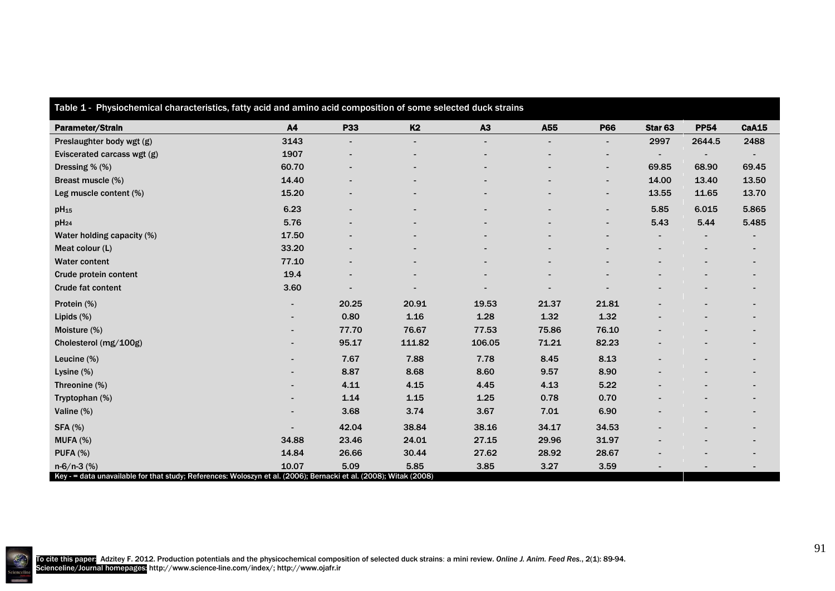| Table 1 - Physiochemical characteristics, fatty acid and amino acid composition of some selected duck strains                      |       |                          |                |                |                          |                          |                          |             |                          |
|------------------------------------------------------------------------------------------------------------------------------------|-------|--------------------------|----------------|----------------|--------------------------|--------------------------|--------------------------|-------------|--------------------------|
| Parameter/Strain                                                                                                                   | A4    | <b>P33</b>               | <b>K2</b>      | A3             | A55                      | <b>P66</b>               | Star <sub>63</sub>       | <b>PP54</b> | <b>CaA15</b>             |
| Preslaughter body wgt (g)                                                                                                          | 3143  | $\overline{\phantom{0}}$ | $\blacksquare$ | $\overline{a}$ | $\overline{\phantom{a}}$ | $\overline{\phantom{0}}$ | 2997                     | 2644.5      | 2488                     |
| Eviscerated carcass wgt (g)                                                                                                        | 1907  |                          |                |                |                          | $\overline{\phantom{0}}$ | $\overline{\phantom{a}}$ |             |                          |
| Dressing % (%)                                                                                                                     | 60.70 |                          |                |                |                          | $\overline{\phantom{0}}$ | 69.85                    | 68.90       | 69.45                    |
| Breast muscle (%)                                                                                                                  | 14.40 |                          |                |                |                          | $\blacksquare$           | 14.00                    | 13.40       | 13.50                    |
| Leg muscle content (%)                                                                                                             | 15.20 |                          |                |                |                          |                          | 13.55                    | 11.65       | 13.70                    |
| pH <sub>15</sub>                                                                                                                   | 6.23  |                          |                |                |                          | $\overline{\phantom{a}}$ | 5.85                     | 6.015       | 5.865                    |
| $pH_{24}$                                                                                                                          | 5.76  |                          |                |                |                          | $\blacksquare$           | 5.43                     | 5.44        | 5.485                    |
| Water holding capacity (%)                                                                                                         | 17.50 |                          |                |                |                          |                          |                          |             |                          |
| Meat colour (L)                                                                                                                    | 33.20 |                          |                |                |                          |                          |                          |             |                          |
| <b>Water content</b>                                                                                                               | 77.10 |                          |                |                |                          |                          |                          |             | $\overline{\phantom{a}}$ |
| Crude protein content                                                                                                              | 19.4  |                          |                |                |                          |                          |                          |             |                          |
| <b>Crude fat content</b>                                                                                                           | 3.60  |                          |                |                |                          |                          |                          |             |                          |
| Protein (%)                                                                                                                        |       | 20.25                    | 20.91          | 19.53          | 21.37                    | 21.81                    |                          |             |                          |
| Lipids (%)                                                                                                                         |       | 0.80                     | 1.16           | 1.28           | 1.32                     | 1.32                     |                          |             |                          |
| Moisture (%)                                                                                                                       |       | 77.70                    | 76.67          | 77.53          | 75.86                    | 76.10                    |                          |             |                          |
| Cholesterol (mg/100g)                                                                                                              |       | 95.17                    | 111.82         | 106.05         | 71.21                    | 82.23                    |                          |             |                          |
| Leucine (%)                                                                                                                        |       | 7.67                     | 7.88           | 7.78           | 8.45                     | 8.13                     |                          |             |                          |
| Lysine (%)                                                                                                                         |       | 8.87                     | 8.68           | 8.60           | 9.57                     | 8.90                     |                          |             |                          |
| Threonine (%)                                                                                                                      |       | 4.11                     | 4.15           | 4.45           | 4.13                     | 5.22                     |                          |             |                          |
| Tryptophan (%)                                                                                                                     |       | 1.14                     | 1.15           | 1.25           | 0.78                     | 0.70                     |                          |             |                          |
| Valine (%)                                                                                                                         |       | 3.68                     | 3.74           | 3.67           | 7.01                     | 6.90                     |                          |             | $\overline{\phantom{a}}$ |
| <b>SFA (%)</b>                                                                                                                     |       | 42.04                    | 38.84          | 38.16          | 34.17                    | 34.53                    |                          |             | $\overline{\phantom{0}}$ |
| MUFA (%)                                                                                                                           | 34.88 | 23.46                    | 24.01          | 27.15          | 29.96                    | 31.97                    |                          |             |                          |
| <b>PUFA (%)</b>                                                                                                                    | 14.84 | 26.66                    | 30.44          | 27.62          | 28.92                    | 28.67                    |                          |             |                          |
| $n-6/n-3$ (%)<br>Key - = data unavailable for that study; References: Woloszyn et al. (2006); Bernacki et al. (2008); Witak (2008) | 10.07 | 5.09                     | 5.85           | 3.85           | 3.27                     | 3.59                     |                          |             |                          |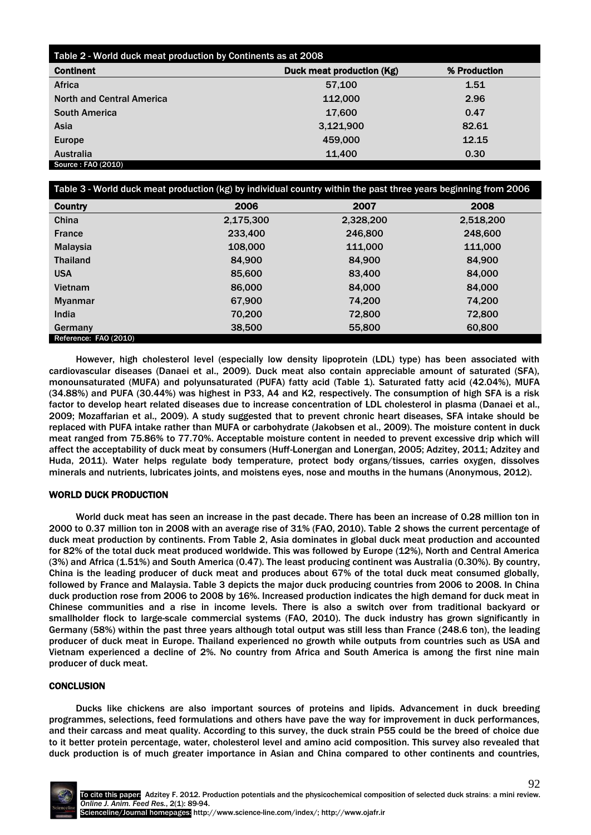| Table 2 - World duck meat production by Continents as at 2008 |                           |              |  |  |  |  |
|---------------------------------------------------------------|---------------------------|--------------|--|--|--|--|
| <b>Continent</b>                                              | Duck meat production (Kg) | % Production |  |  |  |  |
| Africa                                                        | 57,100                    | 1.51         |  |  |  |  |
| <b>North and Central America</b>                              | 112,000                   | 2.96         |  |  |  |  |
| <b>South America</b>                                          | 17,600                    | 0.47         |  |  |  |  |
| Asia                                                          | 3,121,900                 | 82.61        |  |  |  |  |
| Europe                                                        | 459,000                   | 12.15        |  |  |  |  |
| <b>Australia</b>                                              | 11,400                    | 0.30         |  |  |  |  |
| Source: FAO (2010)                                            |                           |              |  |  |  |  |

| Table 3 - World duck meat production (kg) by individual country within the past three years beginning from 2006 |           |           |           |  |  |  |  |
|-----------------------------------------------------------------------------------------------------------------|-----------|-----------|-----------|--|--|--|--|
| <b>Country</b>                                                                                                  | 2006      | 2007      | 2008      |  |  |  |  |
| China                                                                                                           | 2,175,300 | 2,328,200 | 2,518,200 |  |  |  |  |
| <b>France</b>                                                                                                   | 233,400   | 246,800   | 248,600   |  |  |  |  |
| <b>Malaysia</b>                                                                                                 | 108,000   | 111,000   | 111,000   |  |  |  |  |
| <b>Thailand</b>                                                                                                 | 84.900    | 84.900    | 84,900    |  |  |  |  |
| <b>USA</b>                                                                                                      | 85,600    | 83,400    | 84,000    |  |  |  |  |
| Vietnam                                                                                                         | 86,000    | 84.000    | 84,000    |  |  |  |  |
| <b>Myanmar</b>                                                                                                  | 67,900    | 74,200    | 74,200    |  |  |  |  |
| <b>India</b>                                                                                                    | 70.200    | 72,800    | 72,800    |  |  |  |  |
| Germany                                                                                                         | 38,500    | 55,800    | 60,800    |  |  |  |  |
| Reference: FAO (2010)                                                                                           |           |           |           |  |  |  |  |

However, high cholesterol level (especially low density lipoprotein (LDL) type) has been associated with cardiovascular diseases (Danaei et al., 2009). Duck meat also contain appreciable amount of saturated (SFA), monounsaturated (MUFA) and polyunsaturated (PUFA) fatty acid (Table 1). Saturated fatty acid (42.04%), MUFA (34.88%) and PUFA (30.44%) was highest in P33, A4 and K2, respectively. The consumption of high SFA is a risk factor to develop heart related diseases due to increase concentration of LDL cholesterol in plasma (Danaei et al., 2009; Mozaffarian et al., 2009). A study suggested that to prevent chronic heart diseases, SFA intake should be replaced with PUFA intake rather than MUFA or carbohydrate (Jakobsen et al., 2009). The moisture content in duck meat ranged from 75.86% to 77.70%. Acceptable moisture content in needed to prevent excessive drip which will affect the acceptability of duck meat by consumers (Huff-Lonergan and Lonergan, 2005; Adzitey, 2011; Adzitey and Huda, 2011). Water helps regulate body temperature, protect body organs/tissues, carries oxygen, dissolves minerals and nutrients, lubricates joints, and moistens eyes, nose and mouths in the humans (Anonymous, 2012).

## WORLD DUCK PRODUCTION

World duck meat has seen an increase in the past decade. There has been an increase of 0.28 million ton in 2000 to 0.37 million ton in 2008 with an average rise of 31% (FAO, 2010). Table 2 shows the current percentage of duck meat production by continents. From Table 2, Asia dominates in global duck meat production and accounted for 82% of the total duck meat produced worldwide. This was followed by Europe (12%), North and Central America (3%) and Africa (1.51%) and South America (0.47). The least producing continent was Australia (0.30%). By country, China is the leading producer of duck meat and produces about 67% of the total duck meat consumed globally, followed by France and Malaysia. Table 3 depicts the major duck producing countries from 2006 to 2008. In China duck production rose from 2006 to 2008 by 16%. Increased production indicates the high demand for duck meat in Chinese communities and a rise in income levels. There is also a switch over from traditional backyard or smallholder flock to large-scale commercial systems (FAO, 2010). The duck industry has grown significantly in Germany (58%) within the past three years although total output was still less than France (248.6 ton), the leading producer of duck meat in Europe. Thailand experienced no growth while outputs from countries such as USA and Vietnam experienced a decline of 2%. No country from Africa and South America is among the first nine main producer of duck meat.

## **CONCLUSION**

Ducks like chickens are also important sources of proteins and lipids. Advancement in duck breeding programmes, selections, feed formulations and others have pave the way for improvement in duck performances, and their carcass and meat quality. According to this survey, the duck strain P55 could be the breed of choice due to it better protein percentage, water, cholesterol level and amino acid composition. This survey also revealed that duck production is of much greater importance in Asian and China compared to other continents and countries,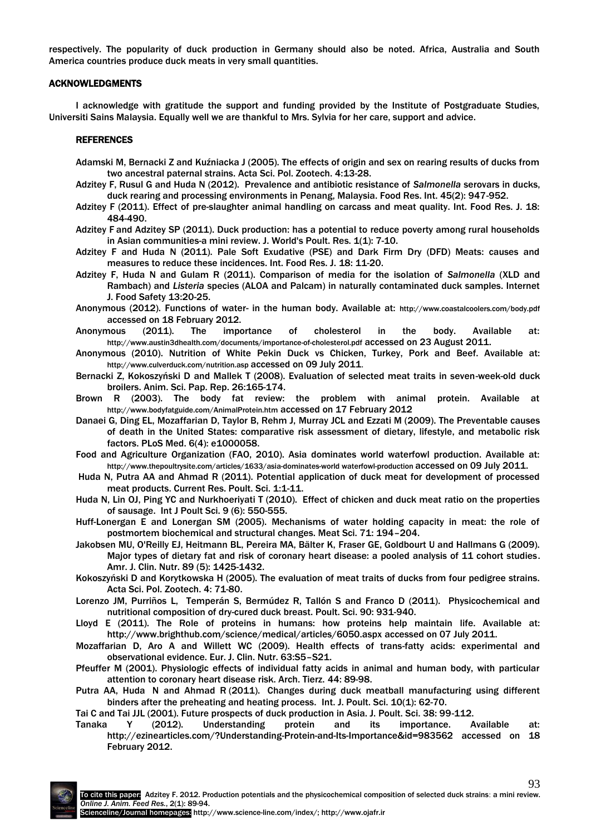respectively. The popularity of duck production in Germany should also be noted. Africa, Australia and South America countries produce duck meats in very small quantities.

### ACKNOWLEDGMENTS

I acknowledge with gratitude the support and funding provided by the Institute of Postgraduate Studies, Universiti Sains Malaysia. Equally well we are thankful to Mrs. Sylvia for her care, support and advice.

### REFERENCES

- Adamski M, Bernacki Z and Kuźniacka J (2005). The effects of origin and sex on rearing results of ducks from two ancestral paternal strains. Acta Sci. Pol. Zootech. 4:13-28.
- Adzitey F, Rusul G and Huda N (2012). Prevalence and antibiotic resistance of *Salmonella* serovars in ducks, duck rearing and processing environments in Penang, Malaysia. Food Res. Int. 45(2): 947-952.
- Adzitey F (2011). Effect of pre-slaughter animal handling on carcass and meat quality. Int. Food Res. J. 18: 484-490.
- Adzitey F and Adzitey SP (2011). Duck production: has a potential to reduce poverty among rural households in Asian communities-a mini review. J. World's Poult. Res. 1(1): 7-10.
- Adzitey F and Huda N (2011). Pale Soft Exudative (PSE) and Dark Firm Dry (DFD) Meats: causes and measures to reduce these incidences. Int. Food Res. J. 18: 11-20.
- Adzitey F, Huda N and Gulam R (2011). Comparison of media for the isolation of *Salmonella* (XLD and Rambach) and *Listeria* species (ALOA and Palcam) in naturally contaminated duck samples. Internet J. Food Safety 13:20-25.
- Anonymous (2012). Functions of water- in the human body. Available at: <http://www.coastalcoolers.com/body.pdf> accessed on 18 February 2012.
- Anonymous (2011). The importance of cholesterol in the body. Available at: <http://www.austin3dhealth.com/documents/importance-of-cholesterol.pdf> accessed on 23 August 2011.
- Anonymous (2010). [Nutrition of White Pekin Duck](http://www.google.com.my/url?sa=t&source=web&cd=1&ved=0CCIQFjAA&url=http%3A%2F%2Fwww.culverduck.com%2Fnutrition.asp&rct=j&q=Duckling%20and%20pork%20data%20from%20USDA%20Standard%20Reference%2C%20Release%2012&ei=IK1dTob6MIrqrAfA4vXIDw&usg=AFQjCNHo017iSYhScNOxE4yLNPtZOGU4kg&cad=rja) vs Chicken, Turkey, Pork and Beef. Available at: [http://www.culverduck.com/nutrition.asp](http://www.culverduck.com/nutrition.asp%20accessed%20on%2009%20July%202011.) accessed on 09 July 2011.
- Bernacki Z, Kokoszyński D and Mallek T (2008). Evaluation of selected meat traits in seven-week-old duck broilers. Anim. Sci. Pap. Rep. 26:165-174.
- Brown R (2003). The body fat review: the problem with animal protein. Available at <http://www.bodyfatguide.com/AnimalProtein.htm> accessed on 17 February 2012
- Danaei G, Ding EL, Mozaffarian D, Taylor B, Rehm J, Murray JCL and Ezzati M (2009). The Preventable causes of death in the United States: comparative risk assessment of dietary, lifestyle, and metabolic risk factors. PLoS Med. 6(4): e1000058.
- Food and Agriculture Organization (FAO, 2010). Asia dominates world waterfowl production. Available at: http://www.thepoultrysite.com/articles/1633/asia-dominates-world waterfowl-production accessed on 09 July 2011.
- [Huda](http://scialert.net/asci/author.php?author=N.&last=Huda) N, [Putra](http://scialert.net/asci/author.php?author=A.A.&last=Putra) AA and Ahmad R (2011). Potential application of duck meat for development of processed meat products. Current Res. Poult. Sci. 1:1-11.
- Huda N, Lin OJ, Ping YC and Nurkhoeriyati T (2010). [Effect of chicken and duck meat ratio on the properties](http://scialert.net/qredirect.php?doi=ijps.2010.550.555&linkid=pdf)  of sausage. Int J Poult Sci. [9 \(6\): 550-555.](http://scialert.net/qredirect.php?doi=ijps.2010.550.555&linkid=pdf)
- Huff-Lonergan E and Lonergan SM (2005). Mechanisms of water holding capacity in meat: the role of postmortem biochemical and structural changes. Meat Sci. 71: 194–204.
- Jakobsen MU, O'Reilly EJ, Heitmann BL, Pereira MA, Bälter K, Fraser GE, Goldbourt U and Hallmans G (2009). [Major types of dietary fat and risk of coronary heart disease: a pooled analysis of 11 cohort studies.](http://www.pubmedcentral.nih.gov/articlerender.fcgi?tool=pmcentrez&artid=2676998) Amr. J. Clin. Nutr. 89 (5): 1425-1432.
- Kokoszyński D and Korytkowska H (2005). The evaluation of meat traits of ducks from four pedigree strains. Acta Sci. Pol. Zootech. 4: 71-80.
- [Lorenzo JM,](http://www.ncbi.nlm.nih.gov/pubmed?term=%22Lorenzo%20JM%22%5BAuthor%5D) [Purriños](http://www.ncbi.nlm.nih.gov/pubmed?term=%22Purri%C3%B1os%20L%22%5BAuthor%5D) L, [Temperán](http://www.ncbi.nlm.nih.gov/pubmed?term=%22Temper%C3%A1n%20S%22%5BAuthor%5D) S, [Bermúdez](http://www.ncbi.nlm.nih.gov/pubmed?term=%22Berm%C3%BAdez%20R%22%5BAuthor%5D) R, [Tallón S](http://www.ncbi.nlm.nih.gov/pubmed?term=%22Tall%C3%B3n%20S%22%5BAuthor%5D) and Franco D [\(2011\).](http://www.ncbi.nlm.nih.gov/pubmed?term=%22Franco%20D%22%5BAuthor%5D) Physicochemical and nutritional composition of dry-cured duck breast. [Poult. Sci.](http://www.ncbi.nlm.nih.gov/pubmed/21406382?dopt=Abstract) 90: 931-940.
- Lloyd E (2011). The Role of proteins in humans: how proteins help maintain life. Available at: <http://www.brighthub.com/science/medical/articles/6050.aspx> accessed on 07 July 2011.
- Mozaffarian D, Aro A and Willett WC (2009). Health effects of trans-fatty acids: experimental and observational evidence. Eur. J. Clin. Nutr. 63:S5–S21.
- Pfeuffer M (2001). Physiologic effects of individual fatty acids in animal and human body, with particular attention to coronary heart disease risk. Arch. Tierz. 44: 89-98.
- Putra AA, Huda N and Ahmad R (2011). Changes during [duck meatball manufacturing using different](http://scialert.net/qredirect.php?doi=ijps.2011.62.70&linkid=pdf)  [binders after the preheating and heating process.](http://scialert.net/qredirect.php?doi=ijps.2011.62.70&linkid=pdf) Int. J. Poult. Sci. 10(1): 62-70.

Tai C and Tai JJL (2001). Future prospects of duck production in Asia. J. Poult. Sci. 38: 99-112.

Tanaka Y (2012). Understanding protein and its importance. Available at: <http://ezinearticles.com/?Understanding-Protein-and-Its-Importance&id=983562> accessed on 18 February 2012.